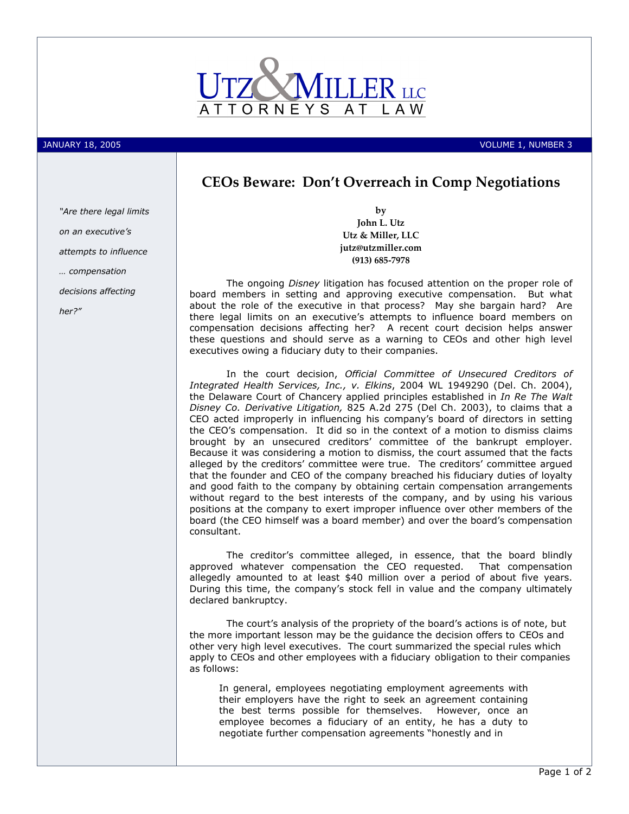

JANUARY 18, 2005 VOLUME 1, NUMBER 3

## CEOs Beware: Don't Overreach in Comp Negotiations

by John L. Utz Utz & Miller, LLC jutz@utzmiller.com (913) 685-7978

The ongoing Disney litigation has focused attention on the proper role of board members in setting and approving executive compensation. But what about the role of the executive in that process? May she bargain hard? Are there legal limits on an executive's attempts to influence board members on compensation decisions affecting her? A recent court decision helps answer these questions and should serve as a warning to CEOs and other high level executives owing a fiduciary duty to their companies.

In the court decision, Official Committee of Unsecured Creditors of Integrated Health Services, Inc., v. Elkins, 2004 WL 1949290 (Del. Ch. 2004), the Delaware Court of Chancery applied principles established in In Re The Walt Disney Co. Derivative Litigation, 825 A.2d 275 (Del Ch. 2003), to claims that a CEO acted improperly in influencing his company's board of directors in setting the CEO's compensation. It did so in the context of a motion to dismiss claims brought by an unsecured creditors' committee of the bankrupt employer. Because it was considering a motion to dismiss, the court assumed that the facts alleged by the creditors' committee were true. The creditors' committee argued that the founder and CEO of the company breached his fiduciary duties of loyalty and good faith to the company by obtaining certain compensation arrangements without regard to the best interests of the company, and by using his various positions at the company to exert improper influence over other members of the board (the CEO himself was a board member) and over the board's compensation consultant.

The creditor's committee alleged, in essence, that the board blindly approved whatever compensation the CEO requested. That compensation allegedly amounted to at least \$40 million over a period of about five years. During this time, the company's stock fell in value and the company ultimately declared bankruptcy.

The court's analysis of the propriety of the board's actions is of note, but the more important lesson may be the guidance the decision offers to CEOs and other very high level executives. The court summarized the special rules which apply to CEOs and other employees with a fiduciary obligation to their companies as follows:

In general, employees negotiating employment agreements with their employers have the right to seek an agreement containing the best terms possible for themselves. However, once an employee becomes a fiduciary of an entity, he has a duty to negotiate further compensation agreements "honestly and in

"Are there legal limits on an executive's attempts to influence … compensation decisions affecting her?"